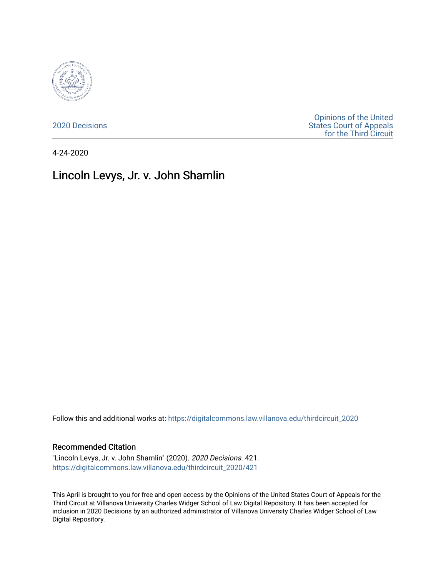

[2020 Decisions](https://digitalcommons.law.villanova.edu/thirdcircuit_2020)

[Opinions of the United](https://digitalcommons.law.villanova.edu/thirdcircuit)  [States Court of Appeals](https://digitalcommons.law.villanova.edu/thirdcircuit)  [for the Third Circuit](https://digitalcommons.law.villanova.edu/thirdcircuit) 

4-24-2020

## Lincoln Levys, Jr. v. John Shamlin

Follow this and additional works at: [https://digitalcommons.law.villanova.edu/thirdcircuit\\_2020](https://digitalcommons.law.villanova.edu/thirdcircuit_2020?utm_source=digitalcommons.law.villanova.edu%2Fthirdcircuit_2020%2F421&utm_medium=PDF&utm_campaign=PDFCoverPages) 

## Recommended Citation

"Lincoln Levys, Jr. v. John Shamlin" (2020). 2020 Decisions. 421. [https://digitalcommons.law.villanova.edu/thirdcircuit\\_2020/421](https://digitalcommons.law.villanova.edu/thirdcircuit_2020/421?utm_source=digitalcommons.law.villanova.edu%2Fthirdcircuit_2020%2F421&utm_medium=PDF&utm_campaign=PDFCoverPages)

This April is brought to you for free and open access by the Opinions of the United States Court of Appeals for the Third Circuit at Villanova University Charles Widger School of Law Digital Repository. It has been accepted for inclusion in 2020 Decisions by an authorized administrator of Villanova University Charles Widger School of Law Digital Repository.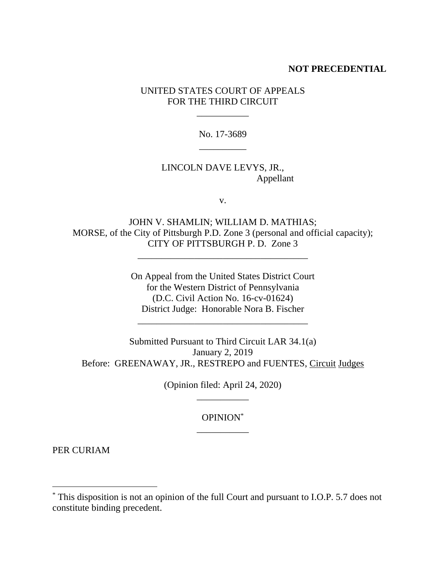## **NOT PRECEDENTIAL**

UNITED STATES COURT OF APPEALS FOR THE THIRD CIRCUIT

\_\_\_\_\_\_\_\_\_\_\_

No. 17-3689 \_\_\_\_\_\_\_\_\_\_

## LINCOLN DAVE LEVYS, JR., Appellant

v.

JOHN V. SHAMLIN; WILLIAM D. MATHIAS; MORSE, of the City of Pittsburgh P.D. Zone 3 (personal and official capacity); CITY OF PITTSBURGH P. D. Zone 3

\_\_\_\_\_\_\_\_\_\_\_\_\_\_\_\_\_\_\_\_\_\_\_\_\_\_\_\_\_\_\_\_\_\_\_\_

On Appeal from the United States District Court for the Western District of Pennsylvania (D.C. Civil Action No. 16-cv-01624) District Judge: Honorable Nora B. Fischer

\_\_\_\_\_\_\_\_\_\_\_\_\_\_\_\_\_\_\_\_\_\_\_\_\_\_\_\_\_\_\_\_\_\_\_\_

Submitted Pursuant to Third Circuit LAR 34.1(a) January 2, 2019 Before: GREENAWAY, JR., RESTREPO and FUENTES, Circuit Judges

> (Opinion filed: April 24, 2020) \_\_\_\_\_\_\_\_\_\_\_

> > OPINION\* \_\_\_\_\_\_\_\_\_\_\_

PER CURIAM

<sup>\*</sup> This disposition is not an opinion of the full Court and pursuant to I.O.P. 5.7 does not constitute binding precedent.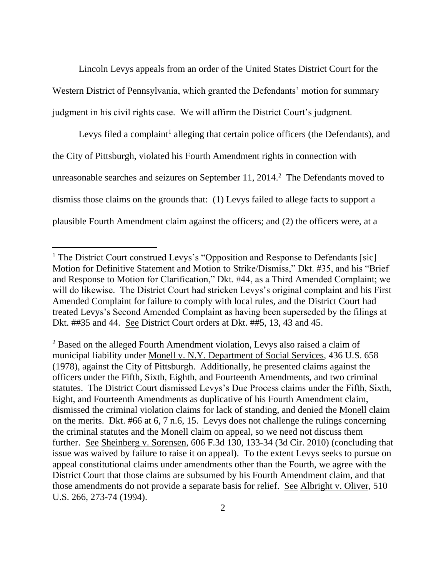Lincoln Levys appeals from an order of the United States District Court for the Western District of Pennsylvania, which granted the Defendants' motion for summary judgment in his civil rights case. We will affirm the District Court's judgment.

Levys filed a complaint<sup>1</sup> alleging that certain police officers (the Defendants), and the City of Pittsburgh, violated his Fourth Amendment rights in connection with unreasonable searches and seizures on September 11, 2014. 2 The Defendants moved to dismiss those claims on the grounds that: (1) Levys failed to allege facts to support a plausible Fourth Amendment claim against the officers; and (2) the officers were, at a

<sup>&</sup>lt;sup>1</sup> The District Court construed Levys's "Opposition and Response to Defendants [sic] Motion for Definitive Statement and Motion to Strike/Dismiss," Dkt. #35, and his "Brief and Response to Motion for Clarification," Dkt. #44, as a Third Amended Complaint; we will do likewise. The District Court had stricken Levys's original complaint and his First Amended Complaint for failure to comply with local rules, and the District Court had treated Levys's Second Amended Complaint as having been superseded by the filings at Dkt. ##35 and 44. See District Court orders at Dkt. ##5, 13, 43 and 45.

<sup>2</sup> Based on the alleged Fourth Amendment violation, Levys also raised a claim of municipal liability under Monell v. N.Y. Department of Social Services, 436 U.S. 658 (1978), against the City of Pittsburgh. Additionally, he presented claims against the officers under the Fifth, Sixth, Eighth, and Fourteenth Amendments, and two criminal statutes. The District Court dismissed Levys's Due Process claims under the Fifth, Sixth, Eight, and Fourteenth Amendments as duplicative of his Fourth Amendment claim, dismissed the criminal violation claims for lack of standing, and denied the Monell claim on the merits. Dkt. #66 at 6, 7 n.6, 15. Levys does not challenge the rulings concerning the criminal statutes and the Monell claim on appeal, so we need not discuss them further. See Sheinberg v. Sorensen, 606 F.3d 130, 133-34 (3d Cir. 2010) (concluding that issue was waived by failure to raise it on appeal). To the extent Levys seeks to pursue on appeal constitutional claims under amendments other than the Fourth, we agree with the District Court that those claims are subsumed by his Fourth Amendment claim, and that those amendments do not provide a separate basis for relief. See Albright v. Oliver, 510 U.S. 266, 273-74 (1994).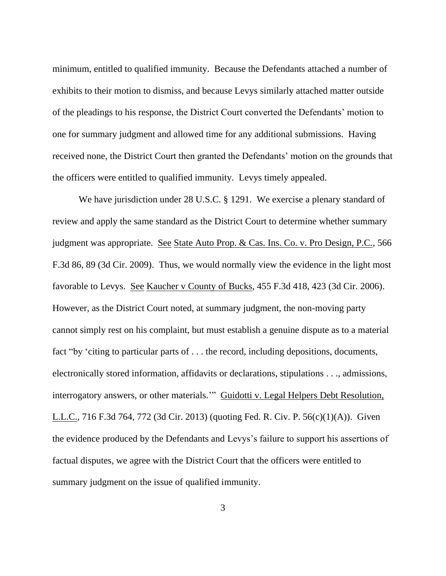minimum, entitled to qualified immunity. Because the Defendants attached a number of exhibits to their motion to dismiss, and because Levys similarly attached matter outside of the pleadings to his response, the District Court converted the Defendants' motion to one for summary judgment and allowed time for any additional submissions. Having received none, the District Court then granted the Defendants' motion on the grounds that the officers were entitled to qualified immunity. Levys timely appealed.

We have jurisdiction under 28 U.S.C. § 1291. We exercise a plenary standard of review and apply the same standard as the District Court to determine whether summary judgment was appropriate. See State Auto Prop. & Cas. Ins. Co. v. Pro Design, P.C., 566 F.3d 86, 89 (3d Cir. 2009). Thus, we would normally view the evidence in the light most favorable to Levys. See Kaucher v County of Bucks, 455 F.3d 418, 423 (3d Cir. 2006). However, as the District Court noted, at summary judgment, the non-moving party cannot simply rest on his complaint, but must establish a genuine dispute as to a material fact "by 'citing to particular parts of . . . the record, including depositions, documents, electronically stored information, affidavits or declarations, stipulations . . ., admissions, interrogatory answers, or other materials." Guidotti v. Legal Helpers Debt Resolution, L.L.C., 716 F.3d 764, 772 (3d Cir. 2013) (quoting Fed. R. Civ. P. 56(c)(1)(A)). Given the evidence produced by the Defendants and Levys's failure to support his assertions of factual disputes, we agree with the District Court that the officers were entitled to summary judgment on the issue of qualified immunity.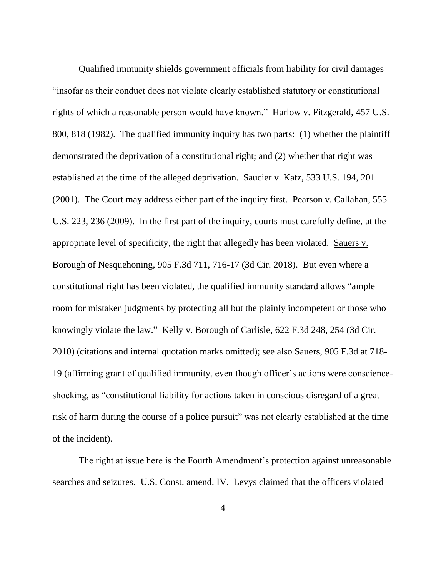Qualified immunity shields government officials from liability for civil damages "insofar as their conduct does not violate clearly established statutory or constitutional rights of which a reasonable person would have known." Harlow v. Fitzgerald, 457 U.S. 800, 818 (1982). The qualified immunity inquiry has two parts: (1) whether the plaintiff demonstrated the deprivation of a constitutional right; and (2) whether that right was established at the time of the alleged deprivation. Saucier v. Katz, 533 U.S. 194, 201 (2001). The Court may address either part of the inquiry first. Pearson v. Callahan, 555 U.S. 223, 236 (2009). In the first part of the inquiry, courts must carefully define, at the appropriate level of specificity, the right that allegedly has been violated. Sauers v. Borough of Nesquehoning, 905 F.3d 711, 716-17 (3d Cir. 2018). But even where a constitutional right has been violated, the qualified immunity standard allows "ample room for mistaken judgments by protecting all but the plainly incompetent or those who knowingly violate the law." Kelly v. Borough of Carlisle, 622 F.3d 248, 254 (3d Cir. 2010) (citations and internal quotation marks omitted); see also Sauers, 905 F.3d at 718- 19 (affirming grant of qualified immunity, even though officer's actions were conscienceshocking, as "constitutional liability for actions taken in conscious disregard of a great risk of harm during the course of a police pursuit" was not clearly established at the time of the incident).

The right at issue here is the Fourth Amendment's protection against unreasonable searches and seizures. U.S. Const. amend. IV. Levys claimed that the officers violated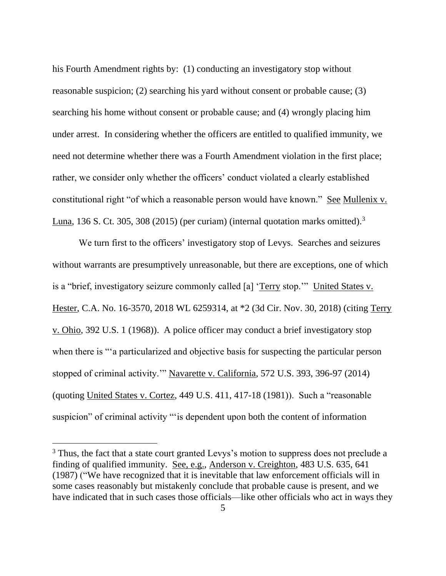his Fourth Amendment rights by: (1) conducting an investigatory stop without reasonable suspicion; (2) searching his yard without consent or probable cause; (3) searching his home without consent or probable cause; and (4) wrongly placing him under arrest. In considering whether the officers are entitled to qualified immunity, we need not determine whether there was a Fourth Amendment violation in the first place; rather, we consider only whether the officers' conduct violated a clearly established constitutional right "of which a reasonable person would have known." See Mullenix v. Luna, 136 S. Ct. 305, 308 (2015) (per curiam) (internal quotation marks omitted).<sup>3</sup>

We turn first to the officers' investigatory stop of Levys. Searches and seizures without warrants are presumptively unreasonable, but there are exceptions, one of which is a "brief, investigatory seizure commonly called [a] 'Terry stop.'" United States v. Hester, C.A. No. 16-3570, 2018 WL 6259314, at \*2 (3d Cir. Nov. 30, 2018) (citing Terry v. Ohio, 392 U.S. 1 (1968)). A police officer may conduct a brief investigatory stop when there is "'a particularized and objective basis for suspecting the particular person stopped of criminal activity.'" Navarette v. California, 572 U.S. 393, 396-97 (2014) (quoting United States v. Cortez, 449 U.S. 411, 417-18 (1981)). Such a "reasonable suspicion" of criminal activity "'is dependent upon both the content of information

<sup>&</sup>lt;sup>3</sup> Thus, the fact that a state court granted Levys's motion to suppress does not preclude a finding of qualified immunity. See, e.g., Anderson v. Creighton, 483 U.S. 635, 641 (1987) ("We have recognized that it is inevitable that law enforcement officials will in some cases reasonably but mistakenly conclude that probable cause is present, and we have indicated that in such cases those officials—like other officials who act in ways they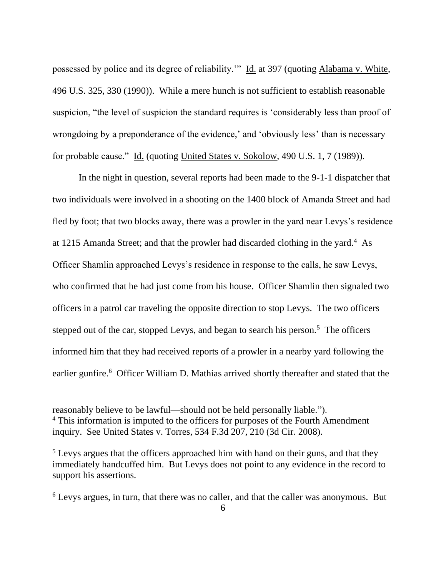possessed by police and its degree of reliability.'" Id. at 397 (quoting Alabama v. White, 496 U.S. 325, 330 (1990)). While a mere hunch is not sufficient to establish reasonable suspicion, "the level of suspicion the standard requires is 'considerably less than proof of wrongdoing by a preponderance of the evidence,' and 'obviously less' than is necessary for probable cause." Id. (quoting United States v. Sokolow, 490 U.S. 1, 7 (1989)).

In the night in question, several reports had been made to the 9-1-1 dispatcher that two individuals were involved in a shooting on the 1400 block of Amanda Street and had fled by foot; that two blocks away, there was a prowler in the yard near Levys's residence at 1215 Amanda Street; and that the prowler had discarded clothing in the yard.<sup>4</sup> As Officer Shamlin approached Levys's residence in response to the calls, he saw Levys, who confirmed that he had just come from his house. Officer Shamlin then signaled two officers in a patrol car traveling the opposite direction to stop Levys. The two officers stepped out of the car, stopped Levys, and began to search his person.<sup>5</sup> The officers informed him that they had received reports of a prowler in a nearby yard following the earlier gunfire.<sup>6</sup> Officer William D. Mathias arrived shortly thereafter and stated that the

reasonably believe to be lawful—should not be held personally liable."). <sup>4</sup> This information is imputed to the officers for purposes of the Fourth Amendment inquiry. See United States v. Torres, 534 F.3d 207, 210 (3d Cir. 2008).

<sup>6</sup> Levys argues, in turn, that there was no caller, and that the caller was anonymous. But

<sup>&</sup>lt;sup>5</sup> Levys argues that the officers approached him with hand on their guns, and that they immediately handcuffed him. But Levys does not point to any evidence in the record to support his assertions.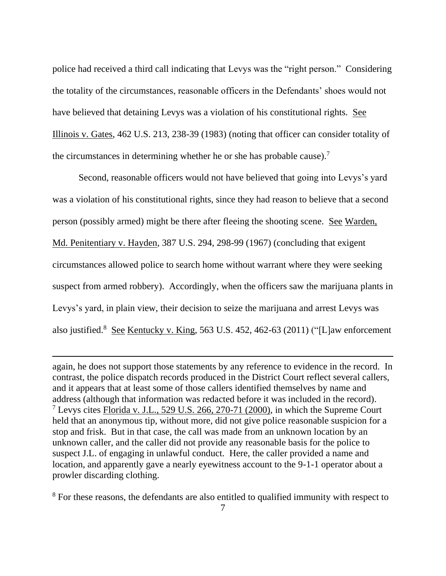police had received a third call indicating that Levys was the "right person." Considering the totality of the circumstances, reasonable officers in the Defendants' shoes would not have believed that detaining Levys was a violation of his constitutional rights. See Illinois v. Gates, 462 U.S. 213, 238-39 (1983) (noting that officer can consider totality of the circumstances in determining whether he or she has probable cause).<sup>7</sup>

Second, reasonable officers would not have believed that going into Levys's yard was a violation of his constitutional rights, since they had reason to believe that a second person (possibly armed) might be there after fleeing the shooting scene. See Warden, Md. Penitentiary v. Hayden, 387 U.S. 294, 298-99 (1967) (concluding that exigent circumstances allowed police to search home without warrant where they were seeking suspect from armed robbery). Accordingly, when the officers saw the marijuana plants in Levys's yard, in plain view, their decision to seize the marijuana and arrest Levys was also justified.<sup>8</sup> See Kentucky v. King, 563 U.S. 452, 462-63 (2011) ("[L]aw enforcement

again, he does not support those statements by any reference to evidence in the record. In contrast, the police dispatch records produced in the District Court reflect several callers, and it appears that at least some of those callers identified themselves by name and address (although that information was redacted before it was included in the record). <sup>7</sup> Levys cites Florida v. J.L., 529 U.S. 266, 270-71 (2000), in which the Supreme Court held that an anonymous tip, without more, did not give police reasonable suspicion for a stop and frisk. But in that case, the call was made from an unknown location by an unknown caller, and the caller did not provide any reasonable basis for the police to suspect J.L. of engaging in unlawful conduct. Here, the caller provided a name and location, and apparently gave a nearly eyewitness account to the 9-1-1 operator about a prowler discarding clothing.

<sup>8</sup> For these reasons, the defendants are also entitled to qualified immunity with respect to